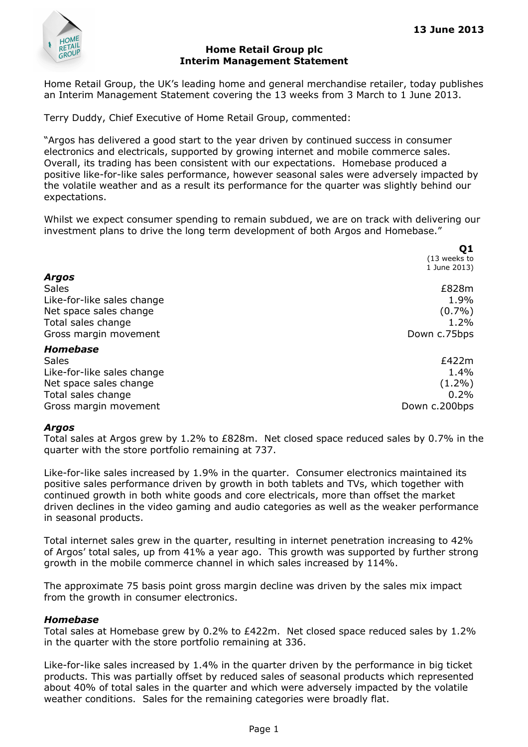

#### Home Retail Group plc Interim Management Statement

Home Retail Group, the UK's leading home and general merchandise retailer, today publishes an Interim Management Statement covering the 13 weeks from 3 March to 1 June 2013.

Terry Duddy, Chief Executive of Home Retail Group, commented:

"Argos has delivered a good start to the year driven by continued success in consumer electronics and electricals, supported by growing internet and mobile commerce sales. Overall, its trading has been consistent with our expectations. Homebase produced a positive like-for-like sales performance, however seasonal sales were adversely impacted by the volatile weather and as a result its performance for the quarter was slightly behind our expectations.

Whilst we expect consumer spending to remain subdued, we are on track with delivering our investment plans to drive the long term development of both Argos and Homebase."

| Q1            |
|---------------|
| (13 weeks to  |
| 1 June 2013)  |
|               |
| £828m         |
| 1.9%          |
| $(0.7\%)$     |
| 1.2%          |
| Down c.75bps  |
|               |
| £422m         |
| 1.4%          |
| $(1.2\%)$     |
| 0.2%          |
| Down c.200bps |
|               |

#### Argos

Total sales at Argos grew by 1.2% to £828m. Net closed space reduced sales by 0.7% in the quarter with the store portfolio remaining at 737.

Like-for-like sales increased by 1.9% in the quarter. Consumer electronics maintained its positive sales performance driven by growth in both tablets and TVs, which together with continued growth in both white goods and core electricals, more than offset the market driven declines in the video gaming and audio categories as well as the weaker performance in seasonal products.

Total internet sales grew in the quarter, resulting in internet penetration increasing to 42% of Argos' total sales, up from 41% a year ago. This growth was supported by further strong growth in the mobile commerce channel in which sales increased by 114%.

The approximate 75 basis point gross margin decline was driven by the sales mix impact from the growth in consumer electronics.

### Homebase

Total sales at Homebase grew by 0.2% to £422m. Net closed space reduced sales by 1.2% in the quarter with the store portfolio remaining at 336.

Like-for-like sales increased by 1.4% in the quarter driven by the performance in big ticket products. This was partially offset by reduced sales of seasonal products which represented about 40% of total sales in the quarter and which were adversely impacted by the volatile weather conditions. Sales for the remaining categories were broadly flat.